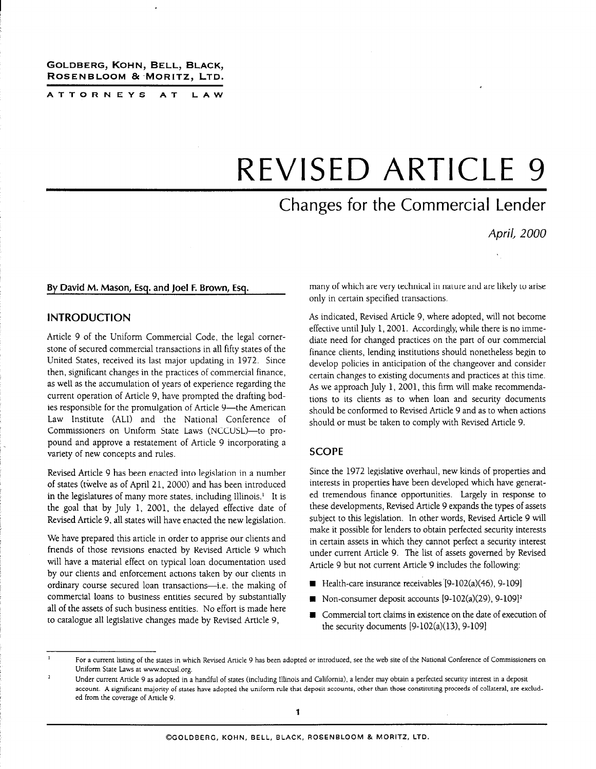#### GOLDBERG, KOHN, BELL, BLACK, ROSENBLOOM & MORITZ, LTD.

ATTORNEYS AT LAW

# REVISED ARTICLE 9

# Changes for the Commercial Lender

April, 2000

#### By David M. Mason, Esq. and Joel F. Brown, Esq.

#### INTRODUCTION

Article 9 of the Uniform Commercial Code, the legal cornerstone of secured commercial transactions in all fifty states of the United States, received its last major updating in 1972. Since then, significant changes in the practices of commercial finance, as well as the accumulation of years of experience regarding the current operation of Article 9, have prompted the drafting bodies responsible for the promulgation of Article 9-the American Law Institute (ALI) and the National Conference of Commissioners on Uniform State Laws (NCCUSL)-to propound and approve a restatement of Article 9 incorporating a variety of new concepts and rules.

Revised Article 9 has been enacted into legislation in a number of states (twelve as of April 21, 2000) and has been introduced in the legislatures of many more states, including Illinois.' It is the goal that by July 1, 2001, the delayed effective date of Revised Article 9, all states will have enacted the new legislation.

We have prepared this article in order to apprise our clients and friends of those revisions enacted by Revised Article 9 which will have a material effect on typical loan documentation used by our clients and enforcement actions taken by our clients in ordinary course secured loan transactions-i.e. the making of commercial loans to business entities secured by substantially all of the assets of such business entities. No effort is made here to catalogue all legislative changes made by Revised Article 9,

many of which are very technical in nature and are likely to arise only in certain specified transactions.

As indicated, Revised Article 9, where adopted, will not become effective until July 1, 2001. Accordingly, while there is no immediate need for changed practices on the part of our commercial finance clients, lending institutions should nonetheless begin to develop policies in anticipation of the changeover and consider certain changes to existing documents and practices at this time. As we approach July 1, 2001, this firm will make recommendations to its clients as to when loan and security documents should be conformed to Revised Article 9 and as to when actions should or must be taken to comply with Revised Article 9.

#### **SCOPE**

Since the 1972 legislative overhaul, new kinds of properties and interests in properties have been developed which have generated tremendous finance opportunities. Largely in response to these developments, Revised Article 9 expands the types of assets subject to this legislation. In other words, Revised Article 9 will make it possible for lenders to obtain perfected security interests in certain assets in which they cannot perfect a security interest under current Article 9. The list of assets governed by Revised Article 9 but not current Article 9 includes the following:

- Health-care insurance receivables  $[9-102(a)(46), 9-109]$
- Non-consumer deposit accounts  $[9-102(a)(29), 9-109]^2$
- Commercial tort claims in existence on the date of execution of the security documents  $[9-102(a)(13), 9-109]$

<sup>&</sup>lt;sup>1</sup> For a current listing of the states in which Revised Article 9 has been adopted or introduced, see the web site of the National Conference of Commissioners on Uniform State Laws at www.nccusl.org.

<sup>&</sup>lt;sup>2</sup> Under current Article 9 as adopted in a handful of states (including Illinois and California), a lender may obtain a perfected security interest in a deposit account. A significant majority of states have adopted the uniform rule that deposit accounts, other than those constituting proceeds of collateral, are excluded from the coverage of Article 9.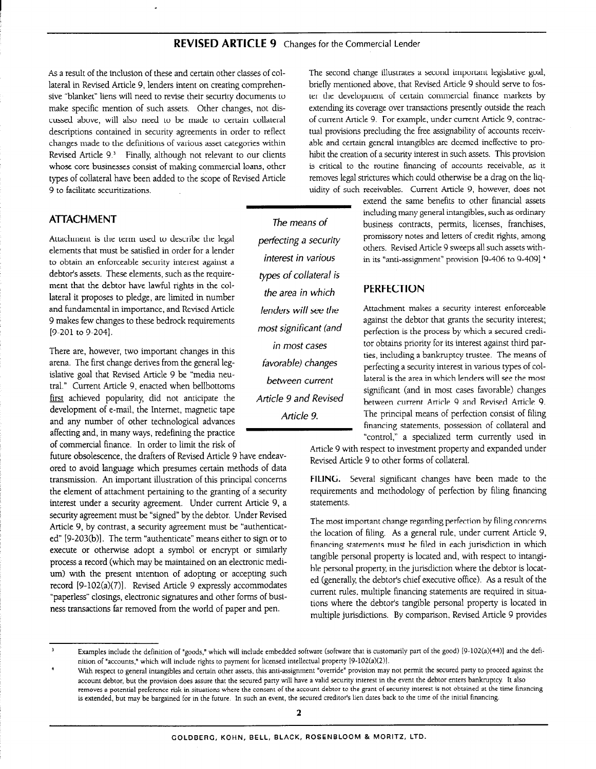As a result of the inclusion of these and certain other classes of collateral in Revised Article 9, lenders intent on creating comprehensive "blanket" liens will need to revise their security documents to make specific mention of such assets. Other changes, not discussed above, will also need to be made to certain collateral descriptions contained in security agreements in order to reflect changes made to the definitions of various asset categories within Revised Article 9.' Finally, although not relevant to our clients whose core businesses consist of making commercial loans, other types of collateral have been added to the scope of Revised Article 9 to facilitate securitizations.

### ATTACHMENT

Attachment is the term used to describe the legal elements that must be satisfied in order for a lender to obtain an enforceable security interest against a debtor's assets. These elements, such as the requirement that the debtor have lawful rights in the collateral it proposes to pledge, are limited in number and fundamental in importance, and Revised Article 9 makes few changes to these bedrock requirements [9-201 to 9-204].

There are, however, two important changes in this arena. The first change derives from the general legislative goal that Revised Article 9 be "media neutral." Current Article 9, enacted when bellbottoms first achieved popularity, did not anticipate the development of e-mail, the Internet, magnetic tape and any number of other technological advances affecting and, in many ways, redefining the practice of commercial finance. In order to limit the risk of

future obsolescence, the drafters of Revised Article 9 have endeavored to avoid language which presumes certain methods of data transmission. An important illustration of this principal concerns the element of attachment pertaining to the granting of a security interest under a security agreement. Under current Article 9, a security agreement must be "signed" by the debtor. Under Revised Article 9, by contrast, a security agreement must be "authenticated" [9-203(b)]. The term "authenticate" means either to sign or to execute or otherwise adopt a symbol or encrypt or similarly process a record (which may be maintained on an electronic medium) with the present intention of adopting or accepting such record [9-102(a)(7)]. Revised Article 9 expressly accommodates "paperless" closings, electronic signatures and other forms of business transactions far removed from the world of paper and pen.

The means of perfecting a security interest in various types of collateral is the area in which lenders will see the most significant (and in most cases favorable) changes between current Article 9 and Revised Article 9.

The second change illustrates a second important legislative goal, briefly mentioned above, that Revised Article 9 should serve to foster the development of certain commercial finance markets by extending its coverage over transactions presently outside the reach of current Article 9. For example, under current Article 9, contractual provisions precluding the free assignability of accounts receivable and certain general intangibles are deemed ineffective to prohibit the creation of a security interest in such assets. This provision is critical to the routine financing of accounts receivable, as it removes legal strictures which could otherwise be a drag on the liquidity of such receivables. Current Article 9, however, does not

> extend the same benefits to other financial assets including many general intangibles, such as ordinary business contracts, permits, licenses, franchises, promissory notes and letters of credit rights, among others. Revised Article 9 sweeps all such assets within its "anti-assignment" provision 19-406 to 9-409].+

#### PERFECTION

Attachment makes a security interest enforceable against the debtor that grants the security interest; perfection is the process by which a secured creditor obtains priority for its interest against third parties, including a bankruptcy trustee. The means of perfecting a security interest in various types of collateral is the area in which lenders will see the most significant (and in most cases favorable) changes between current Article 9 and Revised Article 9. The principal means of perfection consist of filing financing statements, possession of collateral and "control," a specialized term currently used in

Article 9 with respect to investment property and expanded under Revised Article 9 to other forms of collateral.

FILING. Several significant changes have been made to the requirements and methodology of perfection by filing financing statements.

The most important change regarding perfection by filing concerns the location of filing. As a general rule, under current Article 9, financing statements must be filed in each jurisdiction in which tangible personal property is located and, with respect to intangible personal property in the jurisdiction where the debtor is located (generally, the debtor's chief executive office). As a result of the current rules, multiple financing statements are required in situations where the debtor's tangible personal property is located in multiple jurisdictions. By comparison, Revised Article 9 provides

<sup>&</sup>lt;sup>3</sup> Examples include the definition of "goods," which will include embedded software (software that is customarily part of the good) [9-102(a)(44)] and the definition of "accounts," which will include rights to payment for licensed intellectual property [9-102(a)(2)].

With respect to general intangibles and certain other assets, this anti-assignment "override" provision may not permit the secured party to proceed against the account debtor, but the provision does assure that the secured party will have a valid security interest in the event the debtor enters bankruptcy It also removes a potential preference risk in situations where the consent of the account debtor to the grant of security interest is not obtained at the time financing is extended, but may be bargained for in the future. In such an event, the secured creditor's lien dates back to the time of the Initial financing.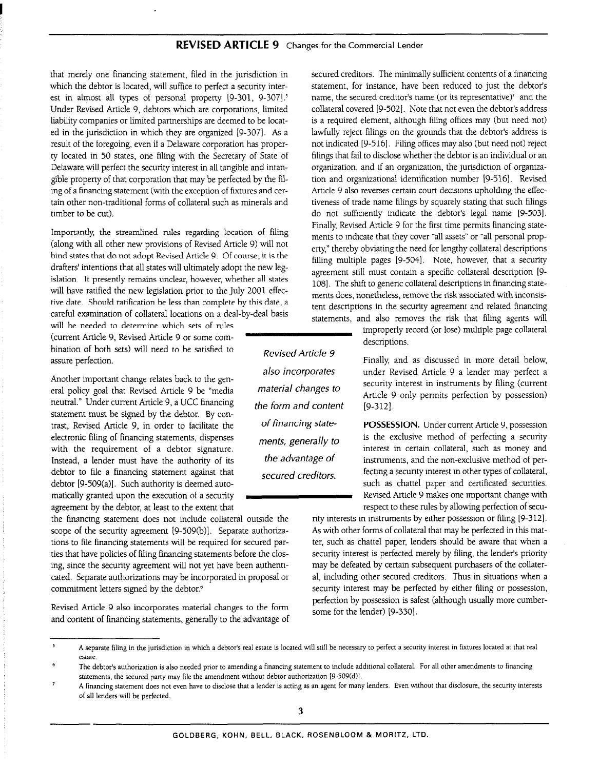that merely one financing statement, filed in the jurisdiction in which the debtor is located, will suffice to perfect a security interest in almost all types of personal property [9-301, 9-307].<sup>5</sup> Under Revised Article 9, debtors which are corporations, limited liability companies or limited partnerships are deemed to be located in the jurisdiction in which they are organized [9-3071. As a result of the foregoing, even if a Delaware corporation has property located in 50 states, one filing with the Secretary of State of Delaware will perfect the security interest in all tangible and intangible property of that corporation that may be perfected by the filing of a financing statement (with the exception of fixtures and certain other non-traditional forms of collateral such as minerals and timber to be cut).

Importantly, the streamlined rules regarding location of filing (along with all other new provisions of Revised Article 9) will not bind states that do not adopt Revised Article 9. Of course, it is the drafters' intentions that all states will ultimately adopt the new legislation. It presently remains unclear, however, whether all states will have ratified the new legislation prior to the July 2001 effective date. Should ratification be less than complete by this date, a careful examination of collateral locations on a deal-by-deal basis

will be needed to determine which sets of rules (current Article 9, Revised Article 9 or some combination of both sets) will need to be satisfied to bination of both sets) will need to be satisfied to <br>Revised Article 9<br>assure perfection.

Another important change relates back to the genera1 policy goal that Revised Article 9 be "media neutral." Under current Article 9, a UCC financing statement must be signed by the debtor. By con trast, Revised Article 9, in order to facilitate the of financing state- **POSSESSION**. Under current Article 9, possession electronic filing of financing statements, dispenses ments, generally to is the exclusive method of perfecting a security<br>with the requirement of a debtor signature.<br> $\frac{m}{t}$  ments, generally to interest in certain collat with the requirement of a debtor signature. Instead, a lender must have the authority of its the advantage  $of$  instruments, and the non-exclusive method of perdebtor to file a financing statement against that secured creditors. fecting a security interest in other types of collateral,<br>debtor [9-509(a)]. Such authority is deemed auto-<br>such as chattel paper and certificated securi debtor [9-509(a)]. Such authority is deemed automatically granted upon the execution of a security **Review Article 9 mates one important change with** agreement by the debtor, at least to the extent that respect to these rules by allowing perfection of secu-

scope of the security agreement [9-509(b)]. Separate authoriza- As with other forms of collateral that may be perfected in this mattions to file financing statements will be required for secured par- ter, such as chattel paper, lenders should be aware that when a ties that have policies of filing financing statements before the clos- security interest is perfected merely by filing, the lender's priority ing, since the security agreement will not yet have been authenti- may be defeated by certain subsequent purchasers of the collatercated. Separate authorizations may be incorporated in proposal or al, including other secured creditors. Thus in situations when a commitment letters signed by the debtor.<sup>6</sup> security interest may be perfected by either filing or possession,

Revised Article 9 also incorporates material changes to the form and content of financing statements, generally to the advantage of secured creditors. The minimally sufficient contents of a financing statement, for instance, have been reduced to just the debtor's name, the secured creditor's name (or its representative)' and the collateral covered [9-5021. Note that not even the debtor's address is a required element, although filing offices may (but need not) lawfully reject filings on the grounds that the debtor's address is not indicated [9-516]. Filing offices may also (but need not) reject filings that fail to disclose whether the debtor is an individual or an organization, and if an organization, the jurisdiction of organization and organizational identification number [9-516]. Revised Article 9 also reverses certain court decisions upholding the effectiveness of trade name filings by squarely stating that such filings do not sufficiently indicate the debtor's legal name [9-5031. Finally Revised Article 9 for the first time permits financing statements to indicate that they cover "all assets" or "all personal property," thereby obviating the need for lengthy collateral descriptions filling multiple pages 19-504). Note, however, that a security agreement still must contain a specific collateral description [9- 1081. The shift to generic collateral descriptions in financing statements does, nonetheless, remove the risk associated with inconsistent descriptions in the security agreement and related financing statements, and also removes the risk that filing agents will

> improperly record (or lose) multiple page collateral descriptions.

Finally, and as discussed in more detail below, under Revised Article 9 a lender may perfect a security interest in instruments by filing (current Article 9 only permits perfection by possession) [9-3121.

the financing statement does not include collateral outside the rity interests in instruments by either possession or filing [9-3121. perfection by possession is safest (although usually more cumbersome for the lender) [9-330].

also incorporates material changes to the form and content

<sup>I</sup>A separate filing in the jurisdiction in which a debtor's real estate is located will still be necessary to perfect a security interest in fixtures located at that real estate.

The debtor's authorization is also needed prior to amending a financing statement to include additional collateral. For all other amendments to financing statements, the secured party may file the amendment without debtor authorization [9-509(d)].

A financing statement does not even have to disclose that a lender is acting as an agent for many lenders. Even without that disclosure, the security interests of all lenders will be perfected.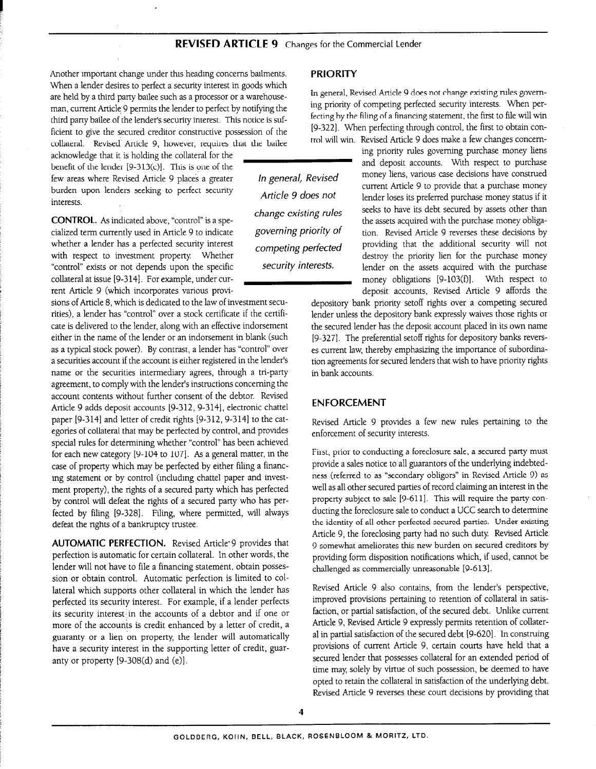Another important change under this heading concerns bailments. PRIORITY When a lender desires to perfect a security interest in goods which are held by a third party bailee such as a processor or a warehouse-<br>In general, Revised Article 9 does not change existing rules govern-<br>ing priority of competing perfected security interests. When perman, current Article 9 permits the lender to perfect by notifying the ing priority of competing perfected security interests. When per-<br>fecting by the filing of a financing statement, the first to file will win third party bailee of the lender's security interest. This notice is suf-<br>fecting by the filing of a financing statement, the first to obtain con-<br>feight to give the geover constructive possession of the [9-322]. When perf ficient to give the secured creditor constructive possession of the [g-322]. When perfecting through control, the first to obtain con-<br>collateral possession perfection of the first the bailes in the first that the bailes i

burden upon lenders seeking to perfect security *Article 9 does not* 

CONTROL. As indicated above, "control" is a spewhether a lender has a perfected security interest with respect to investment property. Whether "control" exists or not depends upon the specific collateral at issue [9-314]. For example, under current Article 9 (which incorporates various provi-

sions of Article 8, which is dedicated to the law of investment securities), a lender has "control" over a stock certificate if the certificate is delivered to the lender, along with an effective indorsement either in the name of the lender or an indorsement in blank (such as a typical stock power). By contrast, a lender has "control" over a securities account if the account is either registered in the lender's name or the securities intermediary agrees, through a tri-party agreement, to comply with the lender's instructions concerning the account contents without further consent of the debtor. Revised Article 9 adds deposit accounts [9-312, 9-314], electronic chattel paper [9-314] and letter of credit rights [9-312, 9-314] to the categories of collateral that may be perfected by control, and provides special rules for determining whether "control" has been achieved for each new category [9-104 to 107]. As a general matter, in the case of property which may be perfected by either filing a financing statement or by control (including chattel paper and investment property), the rights of a secured party which has perfected by control will defeat the rights of a secured party who has perfected by filing [9-328]. Filing, where permitted, will always defeat the rights of a bankruptcy trustee.

AUTOMATIC PERFECTION. Revised Article'9 provides that perfection is automatic for certain collateral. In other words, the lender will not have to file a financing statement, obtain possession or obtain control. Automatic perfection is limited to collateral which supports other collateral in which the lender has perfected its security interest. For example, if a lender perfects its security interest in the accounts of a debtor and if one or more of the accounts is credit enhanced by a letter of credit, a guaranty or a lien on property, the lender will automatically have a security interest in the supporting letter of credit, guaranty or property [9-308(d) and (e)].

competing perfected security interests.

collateral. Revised Article 9, however, requires that the bailee trol will win. Revised Article 9 does make a few changes concentra-<br>ing priority rules governing purchase money liens acknowledge that it is holding the collateral for the LMING priority rules governing purchase money liens  $\frac{1}{2}$  and deposit accounts. With respect to purchase benefit of the lender [9-313(c)]. This is one of the and and deposit accounts. With respect to purchase<br>for any and deposit accounts. With respect to purchase few areas where Revised Article 9 places a greater In general, Revised money liens, various case decisions have construed<br>current Article 9 to provide that a purchase money Interests.<br>Interests. Article 9 does not lender loses its preferred purchase money status if it change existing rules seeks to have its debt secured by assets other than the assets acquired with the purchase money obligacialized term currently used in Article 9 to indicate governing priority of tion. Revised Article 9 reverses these decisions by providing that the additional security will not destroy the priority lien for the purchase money lender on the assets acquired with the purchase money obligations [9-103(f)]. With respect to deposit accounts, Revised Article 9 affords the

> depository bank priority setoff rights over a competing secured lender unless the depository bank expressly waives those rights or the secured lender has the deposit account placed in its own name [9-327]. The preferential setoff rights for depository banks reverses current law, thereby emphasizing the importance of subordination agreements for secured lenders that wish to have priority rights in bank accounts.

#### ENFORCEMENT

Revised Article 9 provides a few new rules pertaining to the enforcement of security interests.

First, prior to conducting a foreclosure sale, a secured party must provide a sales notice to all guarantors of the underlying indebtedness (referred to as "secondary obligors" in Revised Article 9) as well as all other secured parties of record claiming an interest in the property subject to sale [g-611]. This will require the party conducting the foreclosure sale to conduct a UCC search to determine the identity of all other perfected secured parties, Under existing Article 9, the foreclosing party had no such duty. Revised Article 9 somewhat ameliorates this new burden on secured creditors by providing form disposition notifications which, if used, cannot be challenged as commercially unreasonable [9-613].

Revised Article 9 also contains, from the lender's perspective, improved provisions pertaining to retention of collateral in satisfaction, or partial satisfaction, of the secured debt. Unlike current Article 9, Revised Article 9 expressly permits retention of collateral in partial satisfaction of the secured debt [9-620]. In construing provisions of current Article 9, certain courts have held that a secured lender that possesses collateral for an extended period of time may, solely by virtue of such possession, be deemed to have opted to retain the collateral in satisfaction of the underlying debt. Revised Article 9 reverses these court decisions by providing that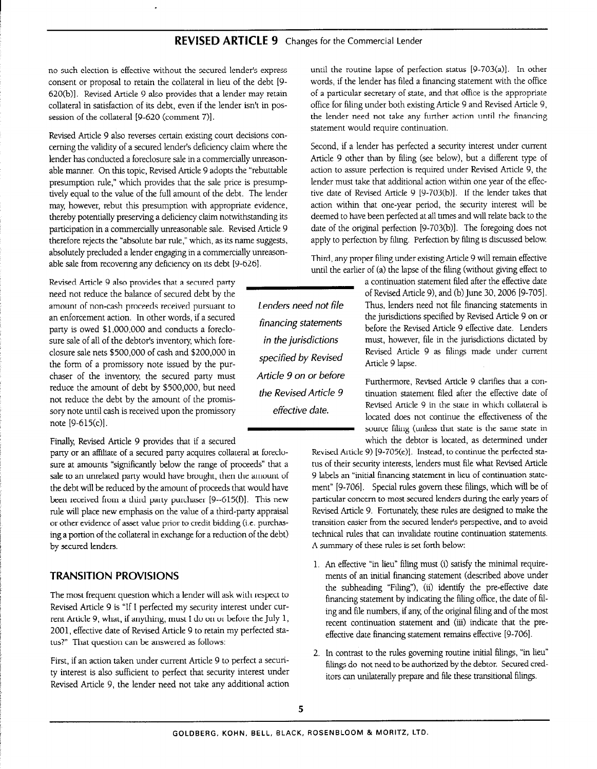no such election is effective without the secured lender's express consent or proposal to retain the collateral in lieu of the debt [9- 620(b)]. Revised Article 9 also provides that a lender may retain collateral in satisfaction of its debt, even if the lender isn't in possession of the collateral [9-620 (comment 7)].

Revised Article 9 also reverses certain existing court decisions concerning the validity of a secured lender's deficiency claim where the lender has conducted a foreclosure sale in a commercially unreasonable manner. On this topic, Revised Article 9 adopts the "rebuttable presumption rule," which provides that the sale price is presumptively equal to the value of the full amount of the debt. The lender may, however, rebut this presumption with appropriate evidence, thereby potentially preserving a deficiency claim notwithstanding its participation in a commercially unreasonable sale. Revised Article 9 therefore rejects the "absolute bar rule," which, as its name suggests, absolutely precluded a lender engaging in a commercially unreasonable sale from recovering any deficiency on its debt [g-626].

Revised Article 9 also provides that a secured party need not reduce the balance of secured debt by the amount of non-cash proceeds received pursuant to an enforcement action. In other words, if a secured party is owed \$l,OOO,OOO and conducts a foreclosure sale of all of the debtor's inventory which foreclosure sale nets \$500,000 of cash and \$200,000 in the form of a promissory note issued by the purchaser of the inventory, the secured party must reduce the amount of debt by \$500,000, but need not reduce the debt by the amount of the promissory note until cash is received upon the promissory note [9-615(c)].

Finally, Revised Article 9 provides that if a secured

party or an affiliate of a secured party acquires collateral at foreclosure at amounts "significantly below the range of proceeds" that a sale to an unrelated party would have brought, then the amount of the debt will be reduced by the amount of proceeds that would have been received from a third party purchaser [9--615(f)]. This new rule will place new emphasis on the value of a third-party appraisal or other evidence of asset value prior to credit bidding (i.e. purchasing a portion of the collateral in exchange for a reduction of the debt) by secured lenders.

#### TRANSITION PROVISIONS

The most frequent question which a lender will ask with respect to Revised Article 9 is "If I perfected my security interest under current Article 9, what, if anything, must I do on or before the July 1, 2001, effective date of Revised Article 9 to retain my perfected status?" That question can be answered as follows:

First, if an action taken under current Article 9 to perfect a security interest is also sufficient to perfect that security interest under Revised Article 9, the lender need not take any additional action

until the routine lapse of perfection status [9-703(a)]. In other words, if the lender has filed a financing statement with the office of a particular secretary of state, and that office is the appropriate office for filing under both existing Article 9 and Revised Article 9, the lender need not take any further action until the financing statement would require continuation.

Second, if a lender has perfected a security interest under current Article 9 other than by filing (see below), but a different type of action to assure perfection is required under Revised Article 9, the lender must take that additional action within one year of the effective date of Revised Article 9 (9-703(b)]. If the lender takes that action within that one-year period, the security interest will be deemed to have been perfected at all times and will relate back to the date of the original perfection [9-703(b)]. The foregoing does not apply to perfection by filing. Perfection by filing is discussed below.

Third, any proper filing under existing Article 9 will remain effective until the earlier of (a) the lapse of the filing (without giving effect to

a continuation statement filed after the effective date of Revised Article 9), and (b) June 30, 2006 [9-705]. Thus, lenders need not file financing statements in the jurisdictions specified by Revised-Article 9 on or before the Revised Article 9 effective date. Lenders in the jurisdictions must, however, file in the jurisdictions dictated by Revised Article 9 as filings made under current Article 9 lapse.

> Furthermore, Revised Article 9 clarifies that a continuation statement filed after the effective date of Revised Article 9 in the state in which collateral is located does not continue the effectiveness of the source filing (unless that state is the same state in which the debtor is located, as determined under

Revised Article 9) [9-705(e)]. Instead, to continue the perfected status of their security interests, lenders must file what Revised Article 9 labels an "initial financing statement in lieu of continuation statement" [9-706]. Special rules govern these filings, which will be of particular concern to most secured lenders during the early years of Revised Article 9. Fortunately, these rules are designed to make the transition easier from the secured lender's perspective, and to avoid technical rules that can invalidate routine continuation statements. A summary of these rules is set forth below:

- 1. An effective "in lieu" filing must (i) satisfy the minimal requirements of an initial financing statement (described above under the subheading "Filing"), (ii) identify the pre-effective date financing statement by indicating the filing office, the date of filing and file numbers, if any, of the original filing and of the most recent continuation statement and (iii) indicate that the preeffective date financing statement remains effective [9-706].
- 2. In contrast to the rules governing routine initial filings, "in lieu" filings do not need to be authorized by the debtor. Secured creditors can unilaterally prepare and file these transitional filings.

financing statements specified by Revised Article 9 on or before the Revised Article 9 effective date.

Lenders need not file